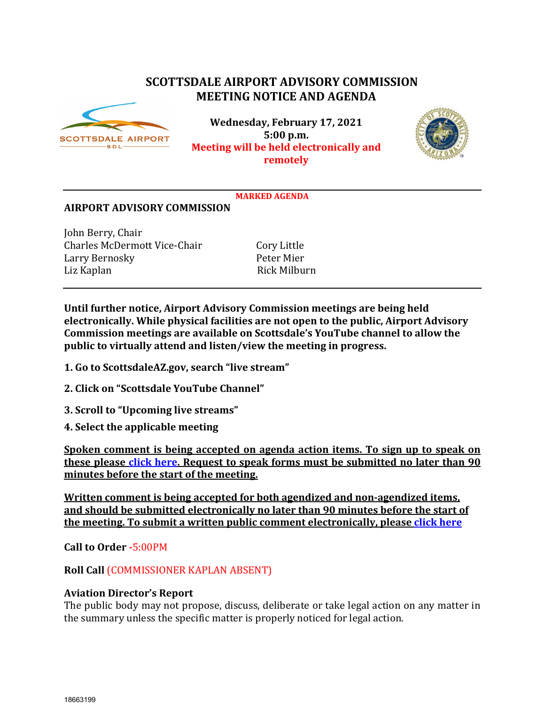# **SCOTTSDALE AIRPORT ADVISORY COMMISSION MEETING NOTICE AND AGENDA**



**Wednesday, February 17, 2021 5:00 p.m. Meeting will be held electronically and remotely** 



#### **MARKED AGENDA**

#### **AIRPORT ADVISORY COMMISSION**

John Berry, Chair Charles McDermott Vice-Chair Cory Little<br>
Larry Bernosky Peter Mier Larry Bernosky Peter Mier Liz Kaplan

**Until further notice, Airport Advisory Commission meetings are being held electronically. While physical facilities are not open to the public, Airport Advisory Commission meetings are available on Scottsdale's YouTube channel to allow the public to virtually attend and listen/view the meeting in progress.**

- **1. Go to ScottsdaleAZ.gov, search "live stream"**
- **2. Click on "Scottsdale YouTube Channel"**
- **3. Scroll to "Upcoming live streams"**
- **4. Select the applicable meeting**

**Spoken comment is being accepted on agenda action items. To sign up to speak on these please [click here.](https://www.scottsdaleaz.gov/boards/airport-advisory-commission/spoken-comment) Request to speak forms must be submitted no later than 90 minutes before the start of the meeting.**

**Written comment is being accepted for both agendized and non-agendized items, and should be submitted electronically no later than 90 minutes before the start of the meeting. To submit a written public comment electronically, please [click here](https://www.scottsdaleaz.gov/boards/airport-advisory-commission/public-comment)**

**Call to Order -**5:00PM

**Roll Call** (COMMISSIONER KAPLAN ABSENT)

#### **Aviation Director's Report**

The public body may not propose, discuss, deliberate or take legal action on any matter in the summary unless the specific matter is properly noticed for legal action.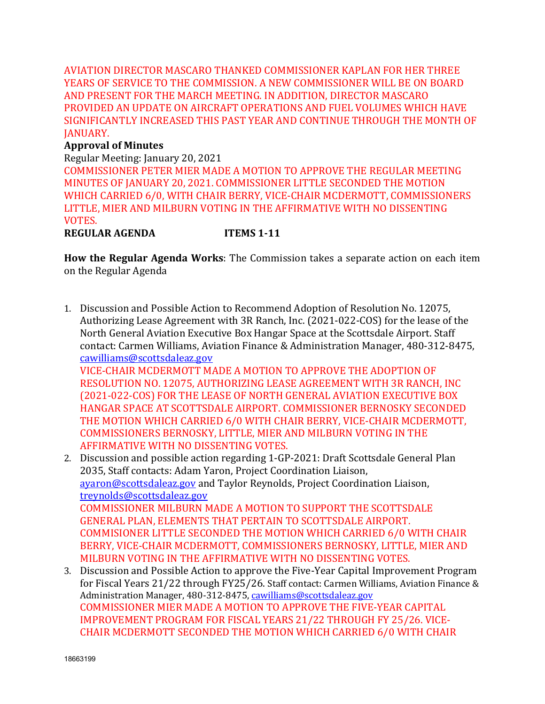AVIATION DIRECTOR MASCARO THANKED COMMISSIONER KAPLAN FOR HER THREE YEARS OF SERVICE TO THE COMMISSION. A NEW COMMISSIONER WILL BE ON BOARD AND PRESENT FOR THE MARCH MEETING. IN ADDITION, DIRECTOR MASCARO PROVIDED AN UPDATE ON AIRCRAFT OPERATIONS AND FUEL VOLUMES WHICH HAVE SIGNIFICANTLY INCREASED THIS PAST YEAR AND CONTINUE THROUGH THE MONTH OF JANUARY.

### **Approval of Minutes**

Regular Meeting: January 20, 2021 COMMISSIONER PETER MIER MADE A MOTION TO APPROVE THE REGULAR MEETING MINUTES OF JANUARY 20, 2021. COMMISSIONER LITTLE SECONDED THE MOTION WHICH CARRIED 6/0, WITH CHAIR BERRY, VICE-CHAIR MCDERMOTT, COMMISSIONERS LITTLE, MIER AND MILBURN VOTING IN THE AFFIRMATIVE WITH NO DISSENTING VOTES.

**REGULAR AGENDA ITEMS 1-11**

**How the Regular Agenda Works**: The Commission takes a separate action on each item on the Regular Agenda

1. Discussion and Possible Action to Recommend Adoption of Resolution No. 12075, Authorizing Lease Agreement with 3R Ranch, Inc. (2021-022-COS) for the lease of the North General Aviation Executive Box Hangar Space at the Scottsdale Airport. Staff contact: Carmen Williams, Aviation Finance & Administration Manager, 480-312-8475, [cawilliams@scottsdaleaz.gov](mailto:cawilliams@scottsdaleaz.gov)

VICE-CHAIR MCDERMOTT MADE A MOTION TO APPROVE THE ADOPTION OF RESOLUTION NO. 12075, AUTHORIZING LEASE AGREEMENT WITH 3R RANCH, INC (2021-022-COS) FOR THE LEASE OF NORTH GENERAL AVIATION EXECUTIVE BOX HANGAR SPACE AT SCOTTSDALE AIRPORT. COMMISSIONER BERNOSKY SECONDED THE MOTION WHICH CARRIED 6/0 WITH CHAIR BERRY, VICE-CHAIR MCDERMOTT, COMMISSIONERS BERNOSKY, LITTLE, MIER AND MILBURN VOTING IN THE AFFIRMATIVE WITH NO DISSENTING VOTES.

- 2. Discussion and possible action regarding 1-GP-2021: Draft Scottsdale General Plan 2035, Staff contacts: Adam Yaron, Project Coordination Liaison, [ayaron@scottsdaleaz.gov](mailto:ayaron@scottsdaleaz.gov) and Taylor Reynolds, Project Coordination Liaison, [treynolds@scottsdaleaz.gov](mailto:treynolds@scottsdaleaz.gov) COMMISSIONER MILBURN MADE A MOTION TO SUPPORT THE SCOTTSDALE GENERAL PLAN, ELEMENTS THAT PERTAIN TO SCOTTSDALE AIRPORT. COMMISIONER LITTLE SECONDED THE MOTION WHICH CARRIED 6/0 WITH CHAIR BERRY, VICE-CHAIR MCDERMOTT, COMMISSIONERS BERNOSKY, LITTLE, MIER AND MILBURN VOTING IN THE AFFIRMATIVE WITH NO DISSENTING VOTES.
- 3. Discussion and Possible Action to approve the Five-Year Capital Improvement Program for Fiscal Years 21/22 through FY25/26. Staff contact: Carmen Williams, Aviation Finance & Administration Manager, 480-312-8475[, cawilliams@scottsdaleaz.gov](mailto:cawilliams@scottsdaleaz.gov) COMMISSIONER MIER MADE A MOTION TO APPROVE THE FIVE-YEAR CAPITAL IMPROVEMENT PROGRAM FOR FISCAL YEARS 21/22 THROUGH FY 25/26. VICE-CHAIR MCDERMOTT SECONDED THE MOTION WHICH CARRIED 6/0 WITH CHAIR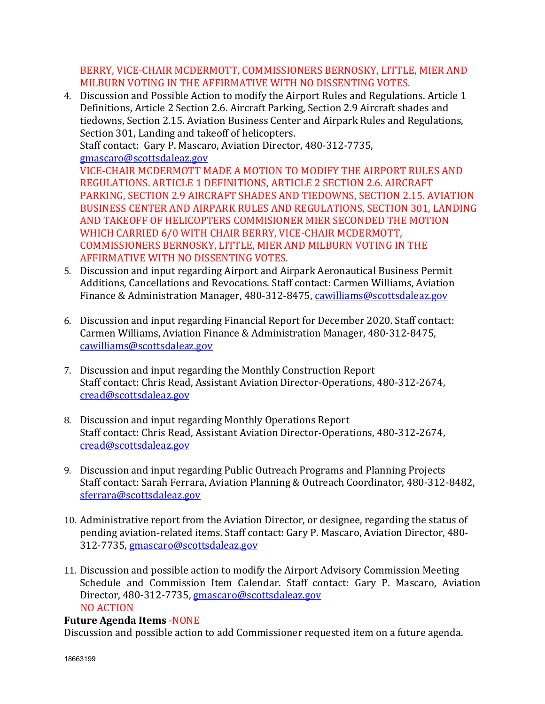BERRY, VICE-CHAIR MCDERMOTT, COMMISSIONERS BERNOSKY, LITTLE, MIER AND MILBURN VOTING IN THE AFFIRMATIVE WITH NO DISSENTING VOTES.

4. Discussion and Possible Action to modify the Airport Rules and Regulations. Article 1 Definitions, Article 2 Section 2.6. Aircraft Parking, Section 2.9 Aircraft shades and tiedowns, Section 2.15. Aviation Business Center and Airpark Rules and Regulations, Section 301, Landing and takeoff of helicopters.

Staff contact: Gary P. Mascaro, Aviation Director, 480-312-7735, [gmascaro@scottsdaleaz.gov](mailto:gmascaro@scottsdaleaz.gov)

VICE-CHAIR MCDERMOTT MADE A MOTION TO MODIFY THE AIRPORT RULES AND REGULATIONS. ARTICLE 1 DEFINITIONS, ARTICLE 2 SECTION 2.6. AIRCRAFT PARKING, SECTION 2.9 AIRCRAFT SHADES AND TIEDOWNS, SECTION 2.15. AVIATION BUSINESS CENTER AND AIRPARK RULES AND REGULATIONS, SECTION 301, LANDING AND TAKEOFF OF HELICOPTERS COMMISIONER MIER SECONDED THE MOTION WHICH CARRIED 6/0 WITH CHAIR BERRY, VICE-CHAIR MCDERMOTT, COMMISSIONERS BERNOSKY, LITTLE, MIER AND MILBURN VOTING IN THE AFFIRMATIVE WITH NO DISSENTING VOTES.

- 5. Discussion and input regarding Airport and Airpark Aeronautical Business Permit Additions, Cancellations and Revocations. Staff contact: Carmen Williams, Aviation Finance & Administration Manager, 480-312-8475, [cawilliams@scottsdaleaz.gov](mailto:cawilliams@scottsdaleaz.gov)
- 6. Discussion and input regarding Financial Report for December 2020. Staff contact: Carmen Williams, Aviation Finance & Administration Manager, 480-312-8475, [cawilliams@scottsdaleaz.gov](mailto:cawilliams@scottsdaleaz.gov)
- 7. Discussion and input regarding the Monthly Construction Report Staff contact: Chris Read, Assistant Aviation Director-Operations, 480-312-2674, [cread@scottsdaleaz.gov](mailto:cread@scottsdaleaz.gov)
- 8. Discussion and input regarding Monthly Operations Report Staff contact: Chris Read, Assistant Aviation Director-Operations, 480-312-2674, [cread@scottsdaleaz.gov](mailto:cread@scottsdaleaz.gov)
- 9. Discussion and input regarding Public Outreach Programs and Planning Projects Staff contact: Sarah Ferrara, Aviation Planning & Outreach Coordinator, 480-312-8482, [sferrara@scottsdaleaz.gov](mailto:sferrara@scottsdaleaz.gov)
- 10. Administrative report from the Aviation Director, or designee, regarding the status of pending aviation-related items. Staff contact: Gary P. Mascaro, Aviation Director, 480- 312-7735, [gmascaro@scottsdaleaz.gov](mailto:gmascaro@scottsdaleaz.gov)
- 11. Discussion and possible action to modify the Airport Advisory Commission Meeting Schedule and Commission Item Calendar. Staff contact: Gary P. Mascaro, Aviation Director, 480-312-7735, [gmascaro@scottsdaleaz.gov](mailto:gmascaro@scottsdaleaz.gov) NO ACTION

## **Future Agenda Items** -NONE

Discussion and possible action to add Commissioner requested item on a future agenda.